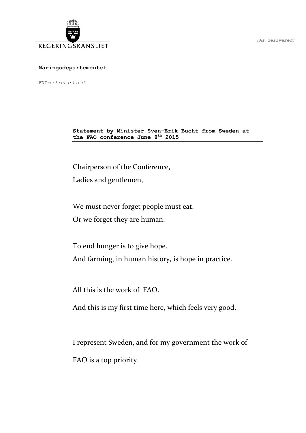

*[As delivered]*

## **Näringsdepartementet**

*EUI-sekretariatet*

**Statement by Minister Sven-Erik Bucht from Sweden at the FAO conference June 8 th 2015**

Chairperson of the Conference,

Ladies and gentlemen,

We must never forget people must eat.

Or we forget they are human.

To end hunger is to give hope. And farming, in human history, is hope in practice.

All this is the work of FAO.

And this is my first time here, which feels very good.

I represent Sweden, and for my government the work of FAO is a top priority.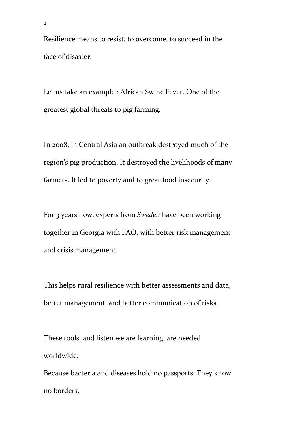Resilience means to resist, to overcome, to succeed in the face of disaster.

Let us take an example : African Swine Fever. One of the greatest global threats to pig farming.

In 2008, in Central Asia an outbreak destroyed much of the region's pig production. It destroyed the livelihoods of many farmers. It led to poverty and to great food insecurity.

For 3 years now, experts from *Sweden* have been working together in Georgia with FAO, with better risk management and crisis management.

This helps rural resilience with better assessments and data, better management, and better communication of risks.

These tools, and listen we are learning, are needed worldwide.

Because bacteria and diseases hold no passports. They know no borders.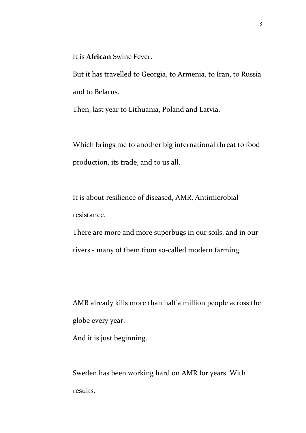It is **African** Swine Fever.

But it has travelled to Georgia, to Armenia, to Iran, to Russia and to Belarus.

Then, last year to Lithuania, Poland and Latvia.

Which brings me to another big international threat to food production, its trade, and to us all.

It is about resilience of diseased, AMR, Antimicrobial resistance.

There are more and more superbugs in our soils, and in our rivers - many of them from so-called modern farming.

AMR already kills more than half a million people across the globe every year.

And it is just beginning.

Sweden has been working hard on AMR for years. With results.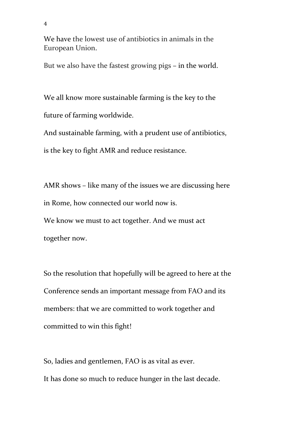We have the lowest use of antibiotics in animals in the European Union.

But we also have the fastest growing pigs – in the world.

We all know more sustainable farming is the key to the future of farming worldwide.

And sustainable farming, with a prudent use of antibiotics,

is the key to fight AMR and reduce resistance.

AMR shows – like many of the issues we are discussing here in Rome, how connected our world now is. We know we must to act together. And we must act together now.

So the resolution that hopefully will be agreed to here at the Conference sends an important message from FAO and its members: that we are committed to work together and committed to win this fight!

So, ladies and gentlemen, FAO is as vital as ever. It has done so much to reduce hunger in the last decade.